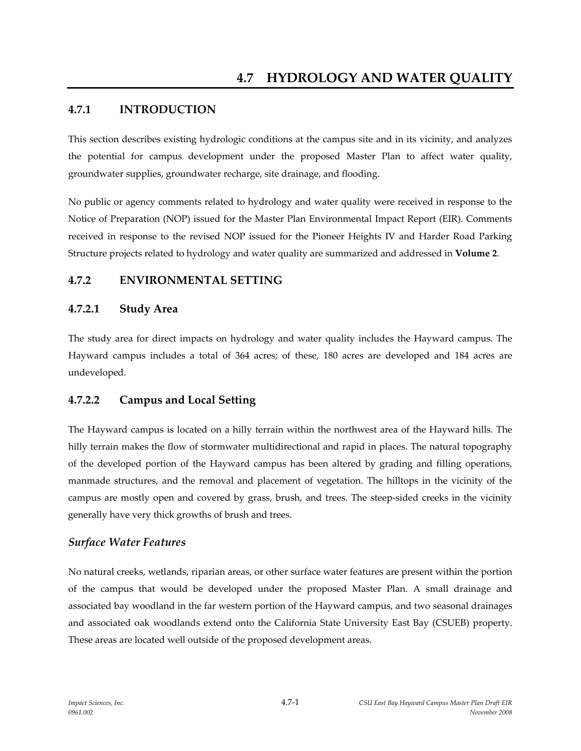# **4.7.1 INTRODUCTION**

This section describes existing hydrologic conditions at the campus site and in its vicinity, and analyzes the potential for campus development under the proposed Master Plan to affect water quality, groundwater supplies, groundwater recharge, site drainage, and flooding.

No public or agency comments related to hydrology and water quality were received in response to the Notice of Preparation (NOP) issued for the Master Plan Environmental Impact Report (EIR). Comments received in response to the revised NOP issued for the Pioneer Heights IV and Harder Road Parking Structure projects related to hydrology and water quality are summarized and addressed in **Volume 2**.

# **4.7.2 ENVIRONMENTAL SETTING**

## **4.7.2.1 Study Area**

The study area for direct impacts on hydrology and water quality includes the Hayward campus. The Hayward campus includes a total of 364 acres; of these, 180 acres are developed and 184 acres are undeveloped.

# **4.7.2.2 Campus and Local Setting**

The Hayward campus is located on a hilly terrain within the northwest area of the Hayward hills. The hilly terrain makes the flow of stormwater multidirectional and rapid in places. The natural topography of the developed portion of the Hayward campus has been altered by grading and filling operations, manmade structures, and the removal and placement of vegetation. The hilltops in the vicinity of the campus are mostly open and covered by grass, brush, and trees. The steep-sided creeks in the vicinity generally have very thick growths of brush and trees.

# *Surface Water Features*

No natural creeks, wetlands, riparian areas, or other surface water features are present within the portion of the campus that would be developed under the proposed Master Plan. A small drainage and associated bay woodland in the far western portion of the Hayward campus, and two seasonal drainages and associated oak woodlands extend onto the California State University East Bay (CSUEB) property. These areas are located well outside of the proposed development areas.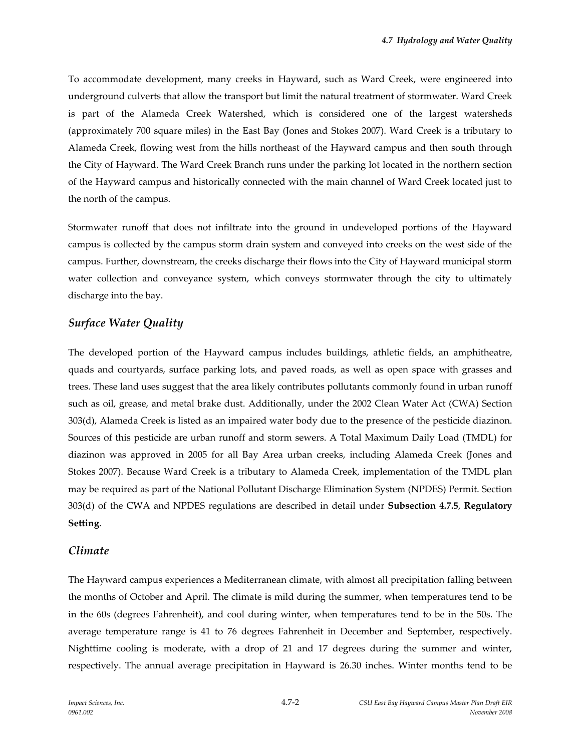To accommodate development, many creeks in Hayward, such as Ward Creek, were engineered into underground culverts that allow the transport but limit the natural treatment of stormwater. Ward Creek is part of the Alameda Creek Watershed, which is considered one of the largest watersheds (approximately 700 square miles) in the East Bay (Jones and Stokes 2007). Ward Creek is a tributary to Alameda Creek, flowing west from the hills northeast of the Hayward campus and then south through the City of Hayward. The Ward Creek Branch runs under the parking lot located in the northern section of the Hayward campus and historically connected with the main channel of Ward Creek located just to the north of the campus.

Stormwater runoff that does not infiltrate into the ground in undeveloped portions of the Hayward campus is collected by the campus storm drain system and conveyed into creeks on the west side of the campus. Further, downstream, the creeks discharge their flows into the City of Hayward municipal storm water collection and conveyance system, which conveys stormwater through the city to ultimately discharge into the bay.

## *Surface Water Quality*

The developed portion of the Hayward campus includes buildings, athletic fields, an amphitheatre, quads and courtyards, surface parking lots, and paved roads, as well as open space with grasses and trees. These land uses suggest that the area likely contributes pollutants commonly found in urban runoff such as oil, grease, and metal brake dust. Additionally, under the 2002 Clean Water Act (CWA) Section 303(d), Alameda Creek is listed as an impaired water body due to the presence of the pesticide diazinon. Sources of this pesticide are urban runoff and storm sewers. A Total Maximum Daily Load (TMDL) for diazinon was approved in 2005 for all Bay Area urban creeks, including Alameda Creek (Jones and Stokes 2007). Because Ward Creek is a tributary to Alameda Creek, implementation of the TMDL plan may be required as part of the National Pollutant Discharge Elimination System (NPDES) Permit. Section 303(d) of the CWA and NPDES regulations are described in detail under **Subsection 4.7.5**, **Regulatory Setting**.

### *Climate*

The Hayward campus experiences a Mediterranean climate, with almost all precipitation falling between the months of October and April. The climate is mild during the summer, when temperatures tend to be in the 60s (degrees Fahrenheit), and cool during winter, when temperatures tend to be in the 50s. The average temperature range is 41 to 76 degrees Fahrenheit in December and September, respectively. Nighttime cooling is moderate, with a drop of 21 and 17 degrees during the summer and winter, respectively. The annual average precipitation in Hayward is 26.30 inches. Winter months tend to be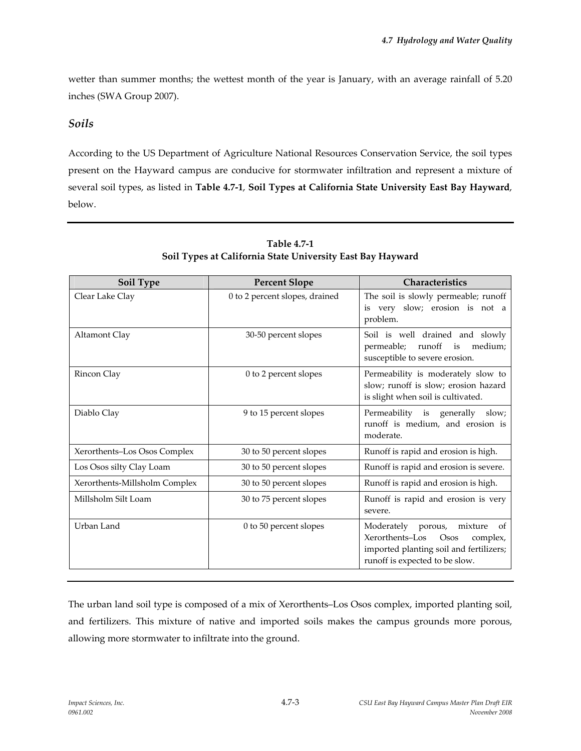wetter than summer months; the wettest month of the year is January, with an average rainfall of 5.20 inches (SWA Group 2007).

# *Soils*

According to the US Department of Agriculture National Resources Conservation Service, the soil types present on the Hayward campus are conducive for stormwater infiltration and represent a mixture of several soil types, as listed in **Table 4.7‐1**, **Soil Types at California State University East Bay Hayward**, below.

| Soil Type                     | <b>Percent Slope</b>           | Characteristics                                                                                                                                                |
|-------------------------------|--------------------------------|----------------------------------------------------------------------------------------------------------------------------------------------------------------|
| Clear Lake Clay               | 0 to 2 percent slopes, drained | The soil is slowly permeable; runoff<br>is very slow; erosion is not a<br>problem.                                                                             |
| Altamont Clay                 | 30-50 percent slopes           | Soil is well drained and slowly<br>permeable;<br>runoff<br>medium;<br>is<br>susceptible to severe erosion.                                                     |
| Rincon Clay                   | 0 to 2 percent slopes          | Permeability is moderately slow to<br>slow; runoff is slow; erosion hazard<br>is slight when soil is cultivated.                                               |
| Diablo Clay                   | 9 to 15 percent slopes         | Permeability is generally slow;<br>runoff is medium, and erosion is<br>moderate.                                                                               |
| Xerorthents-Los Osos Complex  | 30 to 50 percent slopes        | Runoff is rapid and erosion is high.                                                                                                                           |
| Los Osos silty Clay Loam      | 30 to 50 percent slopes        | Runoff is rapid and erosion is severe.                                                                                                                         |
| Xerorthents-Millsholm Complex | 30 to 50 percent slopes        | Runoff is rapid and erosion is high.                                                                                                                           |
| Millsholm Silt Loam           | 30 to 75 percent slopes        | Runoff is rapid and erosion is very<br>severe.                                                                                                                 |
| Urban Land                    | 0 to 50 percent slopes         | Moderately porous,<br>mixture<br>of<br>Xerorthents-Los<br><b>Osos</b><br>complex,<br>imported planting soil and fertilizers;<br>runoff is expected to be slow. |

## **Table 4.7‐1 Soil Types at California State University East Bay Hayward**

The urban land soil type is composed of a mix of Xerorthents–Los Osos complex, imported planting soil, and fertilizers. This mixture of native and imported soils makes the campus grounds more porous, allowing more stormwater to infiltrate into the ground.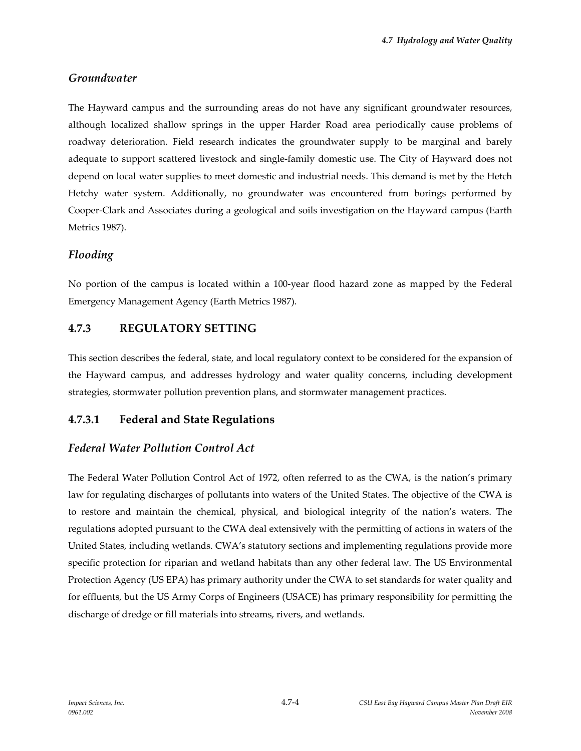## *Groundwater*

The Hayward campus and the surrounding areas do not have any significant groundwater resources, although localized shallow springs in the upper Harder Road area periodically cause problems of roadway deterioration. Field research indicates the groundwater supply to be marginal and barely adequate to support scattered livestock and single‐family domestic use. The City of Hayward does not depend on local water supplies to meet domestic and industrial needs. This demand is met by the Hetch Hetchy water system. Additionally, no groundwater was encountered from borings performed by Cooper‐Clark and Associates during a geological and soils investigation on the Hayward campus (Earth Metrics 1987).

# *Flooding*

No portion of the campus is located within a 100‐year flood hazard zone as mapped by the Federal Emergency Management Agency (Earth Metrics 1987).

# **4.7.3 REGULATORY SETTING**

This section describes the federal, state, and local regulatory context to be considered for the expansion of the Hayward campus, and addresses hydrology and water quality concerns, including development strategies, stormwater pollution prevention plans, and stormwater management practices.

# **4.7.3.1 Federal and State Regulations**

# *Federal Water Pollution Control Act*

The Federal Water Pollution Control Act of 1972, often referred to as the CWA, is the nation's primary law for regulating discharges of pollutants into waters of the United States. The objective of the CWA is to restore and maintain the chemical, physical, and biological integrity of the nation's waters. The regulations adopted pursuant to the CWA deal extensively with the permitting of actions in waters of the United States, including wetlands. CWA's statutory sections and implementing regulations provide more specific protection for riparian and wetland habitats than any other federal law. The US Environmental Protection Agency (US EPA) has primary authority under the CWA to set standards for water quality and for effluents, but the US Army Corps of Engineers (USACE) has primary responsibility for permitting the discharge of dredge or fill materials into streams, rivers, and wetlands.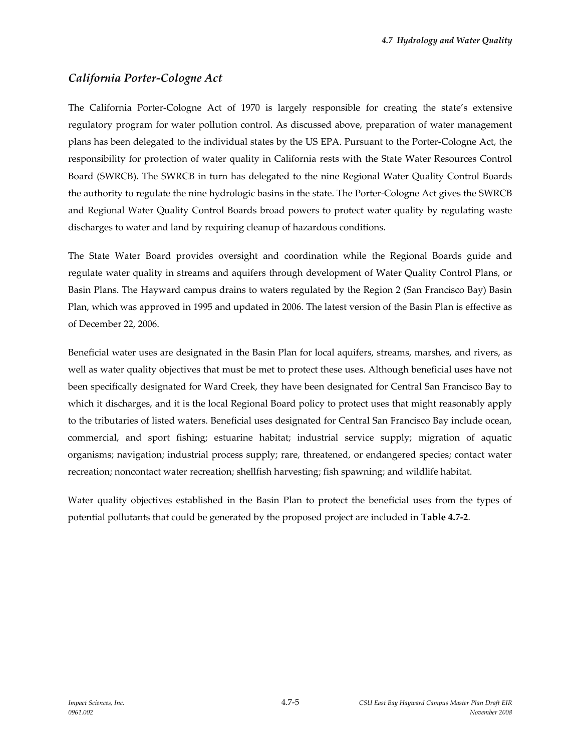# *California Porter‐Cologne Act*

The California Porter‐Cologne Act of 1970 is largely responsible for creating the state's extensive regulatory program for water pollution control. As discussed above, preparation of water management plans has been delegated to the individual states by the US EPA. Pursuant to the Porter‐Cologne Act, the responsibility for protection of water quality in California rests with the State Water Resources Control Board (SWRCB). The SWRCB in turn has delegated to the nine Regional Water Quality Control Boards the authority to regulate the nine hydrologic basins in the state. The Porter‐Cologne Act gives the SWRCB and Regional Water Quality Control Boards broad powers to protect water quality by regulating waste discharges to water and land by requiring cleanup of hazardous conditions.

The State Water Board provides oversight and coordination while the Regional Boards guide and regulate water quality in streams and aquifers through development of Water Quality Control Plans, or Basin Plans. The Hayward campus drains to waters regulated by the Region 2 (San Francisco Bay) Basin Plan, which was approved in 1995 and updated in 2006. The latest version of the Basin Plan is effective as of December 22, 2006.

Beneficial water uses are designated in the Basin Plan for local aquifers, streams, marshes, and rivers, as well as water quality objectives that must be met to protect these uses. Although beneficial uses have not been specifically designated for Ward Creek, they have been designated for Central San Francisco Bay to which it discharges, and it is the local Regional Board policy to protect uses that might reasonably apply to the tributaries of listed waters. Beneficial uses designated for Central San Francisco Bay include ocean, commercial, and sport fishing; estuarine habitat; industrial service supply; migration of aquatic organisms; navigation; industrial process supply; rare, threatened, or endangered species; contact water recreation; noncontact water recreation; shellfish harvesting; fish spawning; and wildlife habitat.

Water quality objectives established in the Basin Plan to protect the beneficial uses from the types of potential pollutants that could be generated by the proposed project are included in **Table 4.7‐2**.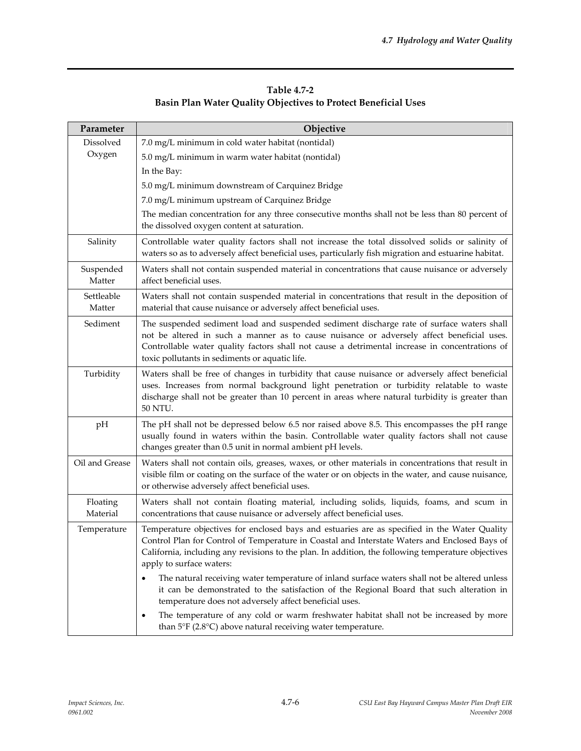| <b>Table 4.7-2</b>                                             |
|----------------------------------------------------------------|
| Basin Plan Water Quality Objectives to Protect Beneficial Uses |

| Parameter            | Objective                                                                                                                                                                                                                                                                                                                                  |
|----------------------|--------------------------------------------------------------------------------------------------------------------------------------------------------------------------------------------------------------------------------------------------------------------------------------------------------------------------------------------|
| Dissolved            | 7.0 mg/L minimum in cold water habitat (nontidal)                                                                                                                                                                                                                                                                                          |
| Oxygen               | 5.0 mg/L minimum in warm water habitat (nontidal)                                                                                                                                                                                                                                                                                          |
|                      | In the Bay:                                                                                                                                                                                                                                                                                                                                |
|                      | 5.0 mg/L minimum downstream of Carquinez Bridge                                                                                                                                                                                                                                                                                            |
|                      | 7.0 mg/L minimum upstream of Carquinez Bridge                                                                                                                                                                                                                                                                                              |
|                      | The median concentration for any three consecutive months shall not be less than 80 percent of<br>the dissolved oxygen content at saturation.                                                                                                                                                                                              |
| Salinity             | Controllable water quality factors shall not increase the total dissolved solids or salinity of<br>waters so as to adversely affect beneficial uses, particularly fish migration and estuarine habitat.                                                                                                                                    |
| Suspended<br>Matter  | Waters shall not contain suspended material in concentrations that cause nuisance or adversely<br>affect beneficial uses.                                                                                                                                                                                                                  |
| Settleable<br>Matter | Waters shall not contain suspended material in concentrations that result in the deposition of<br>material that cause nuisance or adversely affect beneficial uses.                                                                                                                                                                        |
| Sediment             | The suspended sediment load and suspended sediment discharge rate of surface waters shall<br>not be altered in such a manner as to cause nuisance or adversely affect beneficial uses.<br>Controllable water quality factors shall not cause a detrimental increase in concentrations of<br>toxic pollutants in sediments or aquatic life. |
| Turbidity            | Waters shall be free of changes in turbidity that cause nuisance or adversely affect beneficial<br>uses. Increases from normal background light penetration or turbidity relatable to waste<br>discharge shall not be greater than 10 percent in areas where natural turbidity is greater than<br>50 NTU.                                  |
| pH                   | The pH shall not be depressed below 6.5 nor raised above 8.5. This encompasses the pH range<br>usually found in waters within the basin. Controllable water quality factors shall not cause<br>changes greater than 0.5 unit in normal ambient pH levels.                                                                                  |
| Oil and Grease       | Waters shall not contain oils, greases, waxes, or other materials in concentrations that result in<br>visible film or coating on the surface of the water or on objects in the water, and cause nuisance,<br>or otherwise adversely affect beneficial uses.                                                                                |
| Floating<br>Material | Waters shall not contain floating material, including solids, liquids, foams, and scum in<br>concentrations that cause nuisance or adversely affect beneficial uses.                                                                                                                                                                       |
| Temperature          | Temperature objectives for enclosed bays and estuaries are as specified in the Water Quality<br>Control Plan for Control of Temperature in Coastal and Interstate Waters and Enclosed Bays of<br>California, including any revisions to the plan. In addition, the following temperature objectives<br>apply to surface waters:            |
|                      | The natural receiving water temperature of inland surface waters shall not be altered unless<br>٠<br>it can be demonstrated to the satisfaction of the Regional Board that such alteration in<br>temperature does not adversely affect beneficial uses.                                                                                    |
|                      | The temperature of any cold or warm freshwater habitat shall not be increased by more<br>٠<br>than $5^{\circ}$ F (2.8 $^{\circ}$ C) above natural receiving water temperature.                                                                                                                                                             |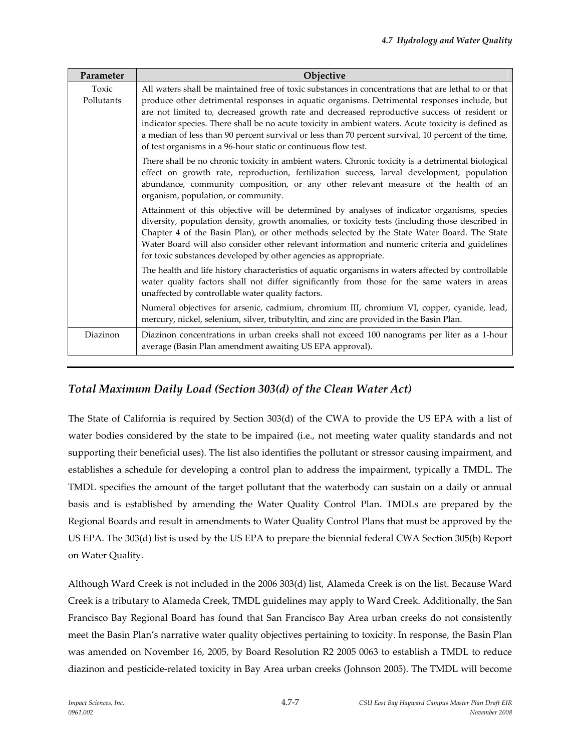| Parameter           | Objective                                                                                                                                                                                                                                                                                                                                                                                                                                                                                                                                                                           |
|---------------------|-------------------------------------------------------------------------------------------------------------------------------------------------------------------------------------------------------------------------------------------------------------------------------------------------------------------------------------------------------------------------------------------------------------------------------------------------------------------------------------------------------------------------------------------------------------------------------------|
| Toxic<br>Pollutants | All waters shall be maintained free of toxic substances in concentrations that are lethal to or that<br>produce other detrimental responses in aquatic organisms. Detrimental responses include, but<br>are not limited to, decreased growth rate and decreased reproductive success of resident or<br>indicator species. There shall be no acute toxicity in ambient waters. Acute toxicity is defined as<br>a median of less than 90 percent survival or less than 70 percent survival, 10 percent of the time,<br>of test organisms in a 96-hour static or continuous flow test. |
|                     | There shall be no chronic toxicity in ambient waters. Chronic toxicity is a detrimental biological<br>effect on growth rate, reproduction, fertilization success, larval development, population<br>abundance, community composition, or any other relevant measure of the health of an<br>organism, population, or community.                                                                                                                                                                                                                                                      |
|                     | Attainment of this objective will be determined by analyses of indicator organisms, species<br>diversity, population density, growth anomalies, or toxicity tests (including those described in<br>Chapter 4 of the Basin Plan), or other methods selected by the State Water Board. The State<br>Water Board will also consider other relevant information and numeric criteria and guidelines<br>for toxic substances developed by other agencies as appropriate.                                                                                                                 |
|                     | The health and life history characteristics of aquatic organisms in waters affected by controllable<br>water quality factors shall not differ significantly from those for the same waters in areas<br>unaffected by controllable water quality factors.                                                                                                                                                                                                                                                                                                                            |
|                     | Numeral objectives for arsenic, cadmium, chromium III, chromium VI, copper, cyanide, lead,<br>mercury, nickel, selenium, silver, tributyltin, and zinc are provided in the Basin Plan.                                                                                                                                                                                                                                                                                                                                                                                              |
| Diazinon            | Diazinon concentrations in urban creeks shall not exceed 100 nanograms per liter as a 1-hour<br>average (Basin Plan amendment awaiting US EPA approval).                                                                                                                                                                                                                                                                                                                                                                                                                            |

# *Total Maximum Daily Load (Section 303(d) of the Clean Water Act)*

The State of California is required by Section 303(d) of the CWA to provide the US EPA with a list of water bodies considered by the state to be impaired (i.e., not meeting water quality standards and not supporting their beneficial uses). The list also identifies the pollutant or stressor causing impairment, and establishes a schedule for developing a control plan to address the impairment, typically a TMDL. The TMDL specifies the amount of the target pollutant that the waterbody can sustain on a daily or annual basis and is established by amending the Water Quality Control Plan. TMDLs are prepared by the Regional Boards and result in amendments to Water Quality Control Plans that must be approved by the US EPA. The 303(d) list is used by the US EPA to prepare the biennial federal CWA Section 305(b) Report on Water Quality.

Although Ward Creek is not included in the 2006 303(d) list, Alameda Creek is on the list. Because Ward Creek is a tributary to Alameda Creek, TMDL guidelines may apply to Ward Creek. Additionally, the San Francisco Bay Regional Board has found that San Francisco Bay Area urban creeks do not consistently meet the Basin Plan's narrative water quality objectives pertaining to toxicity. In response, the Basin Plan was amended on November 16, 2005, by Board Resolution R2 2005 0063 to establish a TMDL to reduce diazinon and pesticide‐related toxicity in Bay Area urban creeks (Johnson 2005). The TMDL will become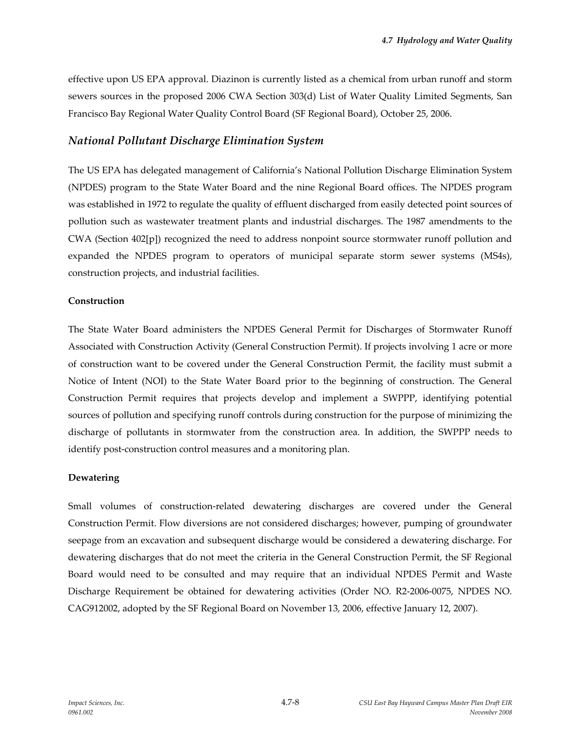effective upon US EPA approval. Diazinon is currently listed as a chemical from urban runoff and storm sewers sources in the proposed 2006 CWA Section 303(d) List of Water Quality Limited Segments, San Francisco Bay Regional Water Quality Control Board (SF Regional Board), October 25, 2006.

### *National Pollutant Discharge Elimination System*

The US EPA has delegated management of California's National Pollution Discharge Elimination System (NPDES) program to the State Water Board and the nine Regional Board offices. The NPDES program was established in 1972 to regulate the quality of effluent discharged from easily detected point sources of pollution such as wastewater treatment plants and industrial discharges. The 1987 amendments to the CWA (Section 402[p]) recognized the need to address nonpoint source stormwater runoff pollution and expanded the NPDES program to operators of municipal separate storm sewer systems (MS4s), construction projects, and industrial facilities.

#### **Construction**

The State Water Board administers the NPDES General Permit for Discharges of Stormwater Runoff Associated with Construction Activity (General Construction Permit). If projects involving 1 acre or more of construction want to be covered under the General Construction Permit, the facility must submit a Notice of Intent (NOI) to the State Water Board prior to the beginning of construction. The General Construction Permit requires that projects develop and implement a SWPPP, identifying potential sources of pollution and specifying runoff controls during construction for the purpose of minimizing the discharge of pollutants in stormwater from the construction area. In addition, the SWPPP needs to identify post-construction control measures and a monitoring plan.

#### **Dewatering**

Small volumes of construction‐related dewatering discharges are covered under the General Construction Permit. Flow diversions are not considered discharges; however, pumping of groundwater seepage from an excavation and subsequent discharge would be considered a dewatering discharge. For dewatering discharges that do not meet the criteria in the General Construction Permit, the SF Regional Board would need to be consulted and may require that an individual NPDES Permit and Waste Discharge Requirement be obtained for dewatering activities (Order NO. R2‐2006‐0075, NPDES NO. CAG912002, adopted by the SF Regional Board on November 13, 2006, effective January 12, 2007).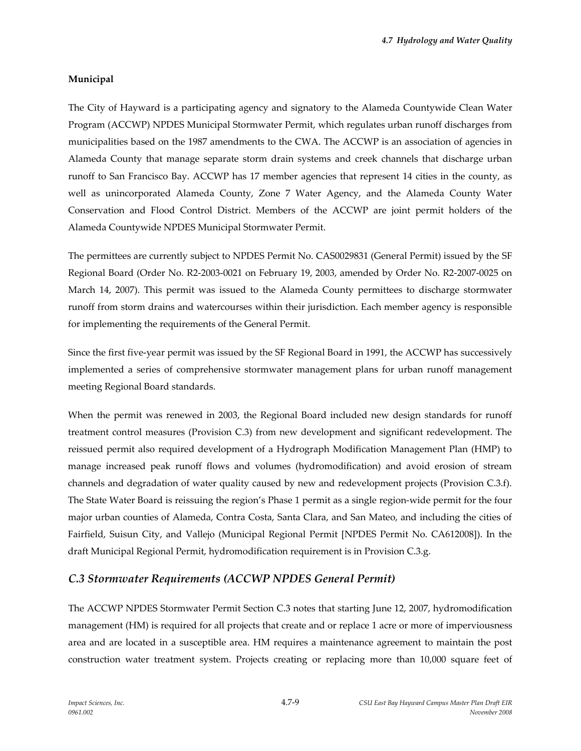### **Municipal**

The City of Hayward is a participating agency and signatory to the Alameda Countywide Clean Water Program (ACCWP) NPDES Municipal Stormwater Permit, which regulates urban runoff discharges from municipalities based on the 1987 amendments to the CWA. The ACCWP is an association of agencies in Alameda County that manage separate storm drain systems and creek channels that discharge urban runoff to San Francisco Bay. ACCWP has 17 member agencies that represent 14 cities in the county, as well as unincorporated Alameda County, Zone 7 Water Agency, and the Alameda County Water Conservation and Flood Control District. Members of the ACCWP are joint permit holders of the Alameda Countywide NPDES Municipal Stormwater Permit.

The permittees are currently subject to NPDES Permit No. CAS0029831 (General Permit) issued by the SF Regional Board (Order No. R2‐2003‐0021 on February 19, 2003, amended by Order No. R2‐2007‐0025 on March 14, 2007). This permit was issued to the Alameda County permittees to discharge stormwater runoff from storm drains and watercourses within their jurisdiction. Each member agency is responsible for implementing the requirements of the General Permit.

Since the first five‐year permit was issued by the SF Regional Board in 1991, the ACCWP has successively implemented a series of comprehensive stormwater management plans for urban runoff management meeting Regional Board standards.

When the permit was renewed in 2003, the Regional Board included new design standards for runoff treatment control measures (Provision C.3) from new development and significant redevelopment. The reissued permit also required development of a Hydrograph Modification Management Plan (HMP) to manage increased peak runoff flows and volumes (hydromodification) and avoid erosion of stream channels and degradation of water quality caused by new and redevelopment projects (Provision C.3.f). The State Water Board is reissuing the region's Phase 1 permit as a single region-wide permit for the four major urban counties of Alameda, Contra Costa, Santa Clara, and San Mateo, and including the cities of Fairfield, Suisun City, and Vallejo ([Municipal](http://www.waterboards.ca.gov/sanfranciscobay/mrp.shtml) Regional Permit [NPDES Permit No. CA612008]). In the draft Municipal Regional Permit, hydromodification requirement is in Provision C.3.g.

### *C.3 Stormwater Requirements (ACCWP NPDES General Permit)*

The ACCWP NPDES Stormwater Permit Section C.3 notes that starting June 12, 2007, hydromodification management (HM) is required for all projects that create and or replace 1 acre or more of imperviousness area and are located in a susceptible area. HM requires a maintenance agreement to maintain the post construction water treatment system. Projects creating or replacing more than 10,000 square feet of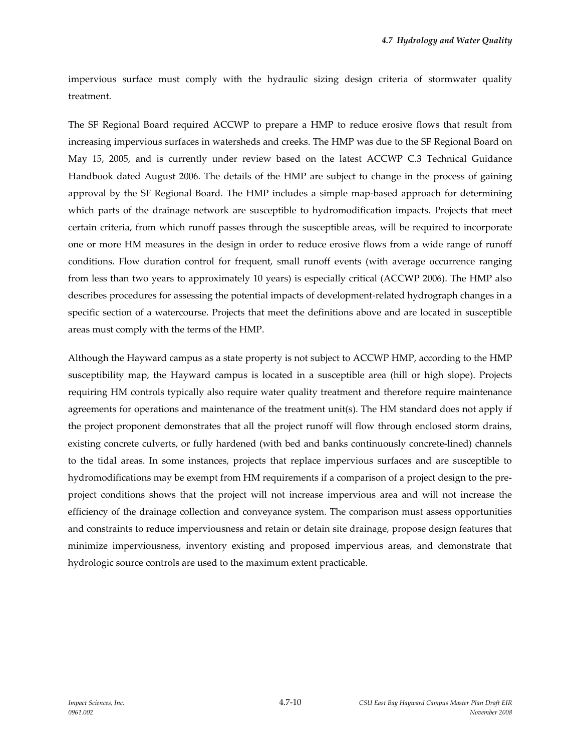impervious surface must comply with the hydraulic sizing design criteria of stormwater quality treatment.

The SF Regional Board required ACCWP to prepare a HMP to reduce erosive flows that result from increasing impervious surfaces in watersheds and creeks. The HMP was due to the SF Regional Board on May 15, 2005, and is currently under review based on the latest ACCWP C.3 Technical Guidance Handbook dated August 2006. The details of the HMP are subject to change in the process of gaining approval by the SF Regional Board. The HMP includes a simple map‐based approach for determining which parts of the drainage network are susceptible to hydromodification impacts. Projects that meet certain criteria, from which runoff passes through the susceptible areas, will be required to incorporate one or more HM measures in the design in order to reduce erosive flows from a wide range of runoff conditions. Flow duration control for frequent, small runoff events (with average occurrence ranging from less than two years to approximately 10 years) is especially critical (ACCWP 2006). The HMP also describes procedures for assessing the potential impacts of development-related hydrograph changes in a specific section of a watercourse. Projects that meet the definitions above and are located in susceptible areas must comply with the terms of the HMP.

Although the Hayward campus as a state property is not subject to ACCWP HMP, according to the HMP susceptibility map, the Hayward campus is located in a susceptible area (hill or high slope). Projects requiring HM controls typically also require water quality treatment and therefore require maintenance agreements for operations and maintenance of the treatment unit(s). The HM standard does not apply if the project proponent demonstrates that all the project runoff will flow through enclosed storm drains, existing concrete culverts, or fully hardened (with bed and banks continuously concrete‐lined) channels to the tidal areas. In some instances, projects that replace impervious surfaces and are susceptible to hydromodifications may be exempt from HM requirements if a comparison of a project design to the pre‐ project conditions shows that the project will not increase impervious area and will not increase the efficiency of the drainage collection and conveyance system. The comparison must assess opportunities and constraints to reduce imperviousness and retain or detain site drainage, propose design features that minimize imperviousness, inventory existing and proposed impervious areas, and demonstrate that hydrologic source controls are used to the maximum extent practicable.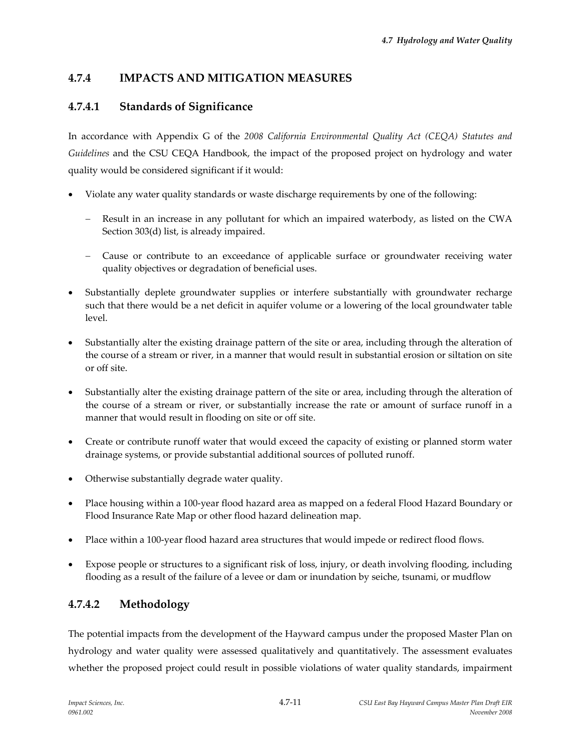# **4.7.4 IMPACTS AND MITIGATION MEASURES**

# **4.7.4.1 Standards of Significance**

In accordance with Appendix G of the *2008 California Environmental Quality Act (CEQA) Statutes and Guidelines* and the CSU CEQA Handbook, the impact of the proposed project on hydrology and water quality would be considered significant if it would:

- Violate any water quality standards or waste discharge requirements by one of the following:
	- Result in an increase in any pollutant for which an impaired waterbody, as listed on the CWA Section 303(d) list, is already impaired.
	- − Cause or contribute to an exceedance of applicable surface or groundwater receiving water quality objectives or degradation of beneficial uses.
- Substantially deplete groundwater supplies or interfere substantially with groundwater recharge such that there would be a net deficit in aquifer volume or a lowering of the local groundwater table level.
- Substantially alter the existing drainage pattern of the site or area, including through the alteration of the course of a stream or river, in a manner that would result in substantial erosion or siltation on site or off site.
- Substantially alter the existing drainage pattern of the site or area, including through the alteration of the course of a stream or river, or substantially increase the rate or amount of surface runoff in a manner that would result in flooding on site or off site.
- Create or contribute runoff water that would exceed the capacity of existing or planned storm water drainage systems, or provide substantial additional sources of polluted runoff.
- Otherwise substantially degrade water quality.
- Place housing within a 100‐year flood hazard area as mapped on a federal Flood Hazard Boundary or Flood Insurance Rate Map or other flood hazard delineation map.
- Place within a 100‐year flood hazard area structures that would impede or redirect flood flows.
- Expose people or structures to a significant risk of loss, injury, or death involving flooding, including flooding as a result of the failure of a levee or dam or inundation by seiche, tsunami, or mudflow

# **4.7.4.2 Methodology**

The potential impacts from the development of the Hayward campus under the proposed Master Plan on hydrology and water quality were assessed qualitatively and quantitatively. The assessment evaluates whether the proposed project could result in possible violations of water quality standards, impairment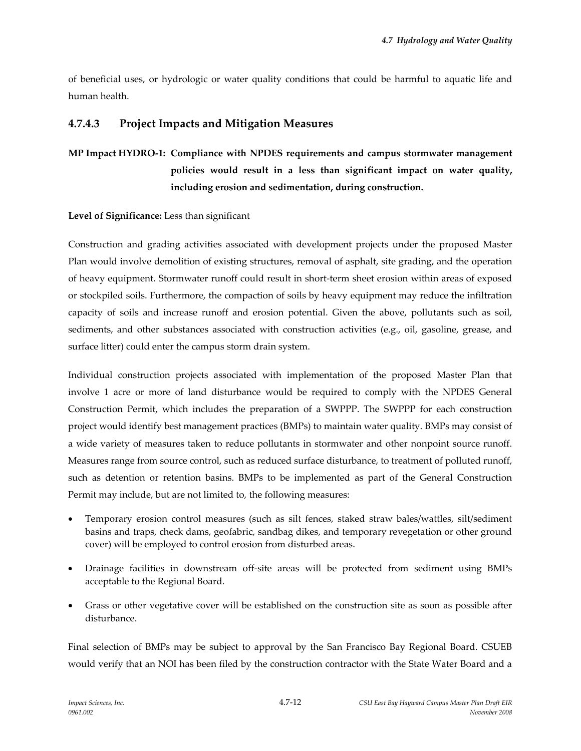of beneficial uses, or hydrologic or water quality conditions that could be harmful to aquatic life and human health.

## **4.7.4.3 Project Impacts and Mitigation Measures**

# **MP Impact HYDRO‐1: Compliance with NPDES requirements and campus stormwater management policies would result in a less than significant impact on water quality, including erosion and sedimentation, during construction.**

#### **Level of Significance:** Less than significant

Construction and grading activities associated with development projects under the proposed Master Plan would involve demolition of existing structures, removal of asphalt, site grading, and the operation of heavy equipment. Stormwater runoff could result in short-term sheet erosion within areas of exposed or stockpiled soils. Furthermore, the compaction of soils by heavy equipment may reduce the infiltration capacity of soils and increase runoff and erosion potential. Given the above, pollutants such as soil, sediments, and other substances associated with construction activities (e.g., oil, gasoline, grease, and surface litter) could enter the campus storm drain system.

Individual construction projects associated with implementation of the proposed Master Plan that involve 1 acre or more of land disturbance would be required to comply with the NPDES General Construction Permit, which includes the preparation of a SWPPP. The SWPPP for each construction project would identify best management practices (BMPs) to maintain water quality. BMPs may consist of a wide variety of measures taken to reduce pollutants in stormwater and other nonpoint source runoff. Measures range from source control, such as reduced surface disturbance, to treatment of polluted runoff, such as detention or retention basins. BMPs to be implemented as part of the General Construction Permit may include, but are not limited to, the following measures:

- Temporary erosion control measures (such as silt fences, staked straw bales/wattles, silt/sediment basins and traps, check dams, geofabric, sandbag dikes, and temporary revegetation or other ground cover) will be employed to control erosion from disturbed areas.
- Drainage facilities in downstream off‐site areas will be protected from sediment using BMPs acceptable to the Regional Board.
- Grass or other vegetative cover will be established on the construction site as soon as possible after disturbance.

Final selection of BMPs may be subject to approval by the San Francisco Bay Regional Board. CSUEB would verify that an NOI has been filed by the construction contractor with the State Water Board and a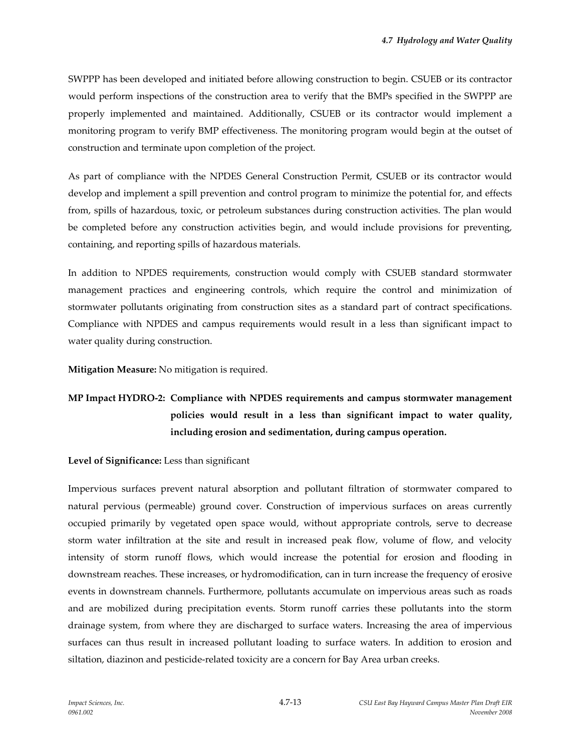SWPPP has been developed and initiated before allowing construction to begin. CSUEB or its contractor would perform inspections of the construction area to verify that the BMPs specified in the SWPPP are properly implemented and maintained. Additionally, CSUEB or its contractor would implement a monitoring program to verify BMP effectiveness. The monitoring program would begin at the outset of construction and terminate upon completion of the project.

As part of compliance with the NPDES General Construction Permit, CSUEB or its contractor would develop and implement a spill prevention and control program to minimize the potential for, and effects from, spills of hazardous, toxic, or petroleum substances during construction activities. The plan would be completed before any construction activities begin, and would include provisions for preventing, containing, and reporting spills of hazardous materials.

In addition to NPDES requirements, construction would comply with CSUEB standard stormwater management practices and engineering controls, which require the control and minimization of stormwater pollutants originating from construction sites as a standard part of contract specifications. Compliance with NPDES and campus requirements would result in a less than significant impact to water quality during construction.

**Mitigation Measure:** No mitigation is required.

# **MP Impact HYDRO‐2: Compliance with NPDES requirements and campus stormwater management policies would result in a less than significant impact to water quality, including erosion and sedimentation, during campus operation.**

#### **Level of Significance:** Less than significant

Impervious surfaces prevent natural absorption and pollutant filtration of stormwater compared to natural pervious (permeable) ground cover. Construction of impervious surfaces on areas currently occupied primarily by vegetated open space would, without appropriate controls, serve to decrease storm water infiltration at the site and result in increased peak flow, volume of flow, and velocity intensity of storm runoff flows, which would increase the potential for erosion and flooding in downstream reaches. These increases, or hydromodification, can in turn increase the frequency of erosive events in downstream channels. Furthermore, pollutants accumulate on impervious areas such as roads and are mobilized during precipitation events. Storm runoff carries these pollutants into the storm drainage system, from where they are discharged to surface waters. Increasing the area of impervious surfaces can thus result in increased pollutant loading to surface waters. In addition to erosion and siltation, diazinon and pesticide-related toxicity are a concern for Bay Area urban creeks.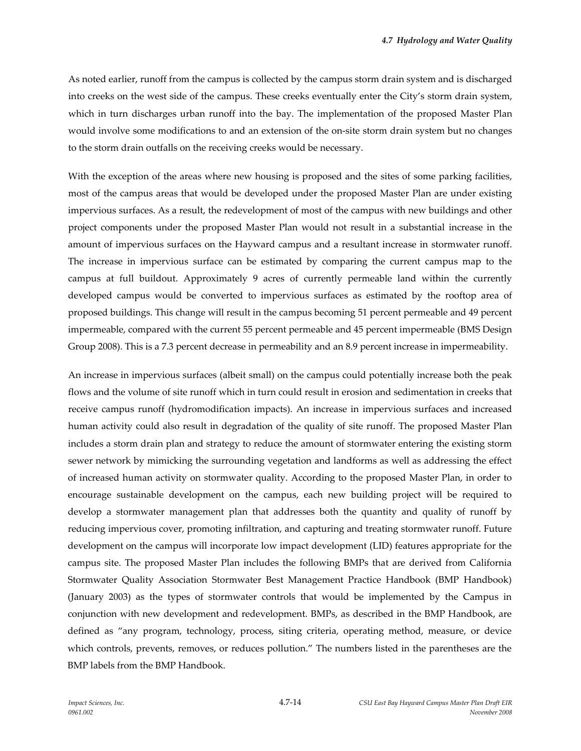As noted earlier, runoff from the campus is collected by the campus storm drain system and is discharged into creeks on the west side of the campus. These creeks eventually enter the City's storm drain system, which in turn discharges urban runoff into the bay. The implementation of the proposed Master Plan would involve some modifications to and an extension of the on‐site storm drain system but no changes to the storm drain outfalls on the receiving creeks would be necessary.

With the exception of the areas where new housing is proposed and the sites of some parking facilities, most of the campus areas that would be developed under the proposed Master Plan are under existing impervious surfaces. As a result, the redevelopment of most of the campus with new buildings and other project components under the proposed Master Plan would not result in a substantial increase in the amount of impervious surfaces on the Hayward campus and a resultant increase in stormwater runoff. The increase in impervious surface can be estimated by comparing the current campus map to the campus at full buildout. Approximately 9 acres of currently permeable land within the currently developed campus would be converted to impervious surfaces as estimated by the rooftop area of proposed buildings. This change will result in the campus becoming 51 percent permeable and 49 percent impermeable, compared with the current 55 percent permeable and 45 percent impermeable (BMS Design Group 2008). This is a 7.3 percent decrease in permeability and an 8.9 percent increase in impermeability.

An increase in impervious surfaces (albeit small) on the campus could potentially increase both the peak flows and the volume of site runoff which in turn could result in erosion and sedimentation in creeks that receive campus runoff (hydromodification impacts). An increase in impervious surfaces and increased human activity could also result in degradation of the quality of site runoff. The proposed Master Plan includes a storm drain plan and strategy to reduce the amount of stormwater entering the existing storm sewer network by mimicking the surrounding vegetation and landforms as well as addressing the effect of increased human activity on stormwater quality. According to the proposed Master Plan, in order to encourage sustainable development on the campus, each new building project will be required to develop a stormwater management plan that addresses both the quantity and quality of runoff by reducing impervious cover, promoting infiltration, and capturing and treating stormwater runoff. Future development on the campus will incorporate low impact development (LID) features appropriate for the campus site. The proposed Master Plan includes the following BMPs that are derived from California Stormwater Quality Association Stormwater Best Management Practice Handbook (BMP Handbook) (January 2003) as the types of stormwater controls that would be implemented by the Campus in conjunction with new development and redevelopment. BMPs, as described in the BMP Handbook, are defined as "any program, technology, process, siting criteria, operating method, measure, or device which controls, prevents, removes, or reduces pollution." The numbers listed in the parentheses are the BMP labels from the BMP Handbook.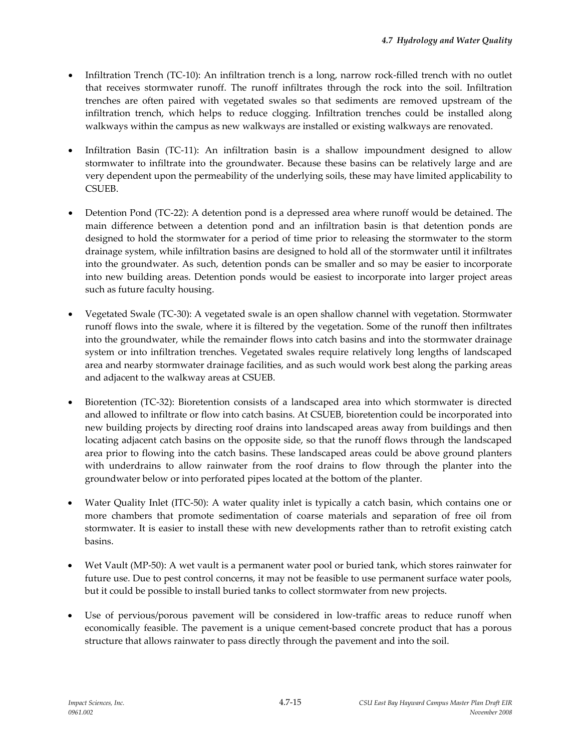- Infiltration Trench (TC-10): An infiltration trench is a long, narrow rock-filled trench with no outlet that receives stormwater runoff. The runoff infiltrates through the rock into the soil. Infiltration trenches are often paired with vegetated swales so that sediments are removed upstream of the infiltration trench, which helps to reduce clogging. Infiltration trenches could be installed along walkways within the campus as new walkways are installed or existing walkways are renovated.
- Infiltration Basin (TC-11): An infiltration basin is a shallow impoundment designed to allow stormwater to infiltrate into the groundwater. Because these basins can be relatively large and are very dependent upon the permeability of the underlying soils, these may have limited applicability to CSUEB.
- Detention Pond (TC‐22): A detention pond is a depressed area where runoff would be detained. The main difference between a detention pond and an infiltration basin is that detention ponds are designed to hold the stormwater for a period of time prior to releasing the stormwater to the storm drainage system, while infiltration basins are designed to hold all of the stormwater until it infiltrates into the groundwater. As such, detention ponds can be smaller and so may be easier to incorporate into new building areas. Detention ponds would be easiest to incorporate into larger project areas such as future faculty housing.
- Vegetated Swale (TC‐30): A vegetated swale is an open shallow channel with vegetation. Stormwater runoff flows into the swale, where it is filtered by the vegetation. Some of the runoff then infiltrates into the groundwater, while the remainder flows into catch basins and into the stormwater drainage system or into infiltration trenches. Vegetated swales require relatively long lengths of landscaped area and nearby stormwater drainage facilities, and as such would work best along the parking areas and adjacent to the walkway areas at CSUEB.
- Bioretention (TC‐32): Bioretention consists of a landscaped area into which stormwater is directed and allowed to infiltrate or flow into catch basins. At CSUEB, bioretention could be incorporated into new building projects by directing roof drains into landscaped areas away from buildings and then locating adjacent catch basins on the opposite side, so that the runoff flows through the landscaped area prior to flowing into the catch basins. These landscaped areas could be above ground planters with underdrains to allow rainwater from the roof drains to flow through the planter into the groundwater below or into perforated pipes located at the bottom of the planter.
- Water Quality Inlet (ITC‐50): A water quality inlet is typically a catch basin, which contains one or more chambers that promote sedimentation of coarse materials and separation of free oil from stormwater. It is easier to install these with new developments rather than to retrofit existing catch basins.
- Wet Vault (MP‐50): A wet vault is a permanent water pool or buried tank, which stores rainwater for future use. Due to pest control concerns, it may not be feasible to use permanent surface water pools, but it could be possible to install buried tanks to collect stormwater from new projects.
- Use of pervious/porous pavement will be considered in low-traffic areas to reduce runoff when economically feasible. The pavement is a unique cement-based concrete product that has a porous structure that allows rainwater to pass directly through the pavement and into the soil.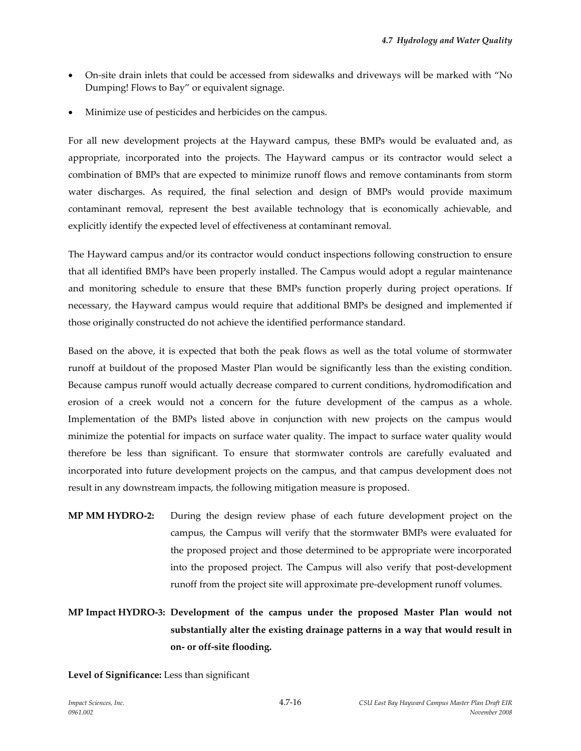- On‐site drain inlets that could be accessed from sidewalks and driveways will be marked with "No Dumping! Flows to Bay" or equivalent signage.
- Minimize use of pesticides and herbicides on the campus.

For all new development projects at the Hayward campus, these BMPs would be evaluated and, as appropriate, incorporated into the projects. The Hayward campus or its contractor would select a combination of BMPs that are expected to minimize runoff flows and remove contaminants from storm water discharges. As required, the final selection and design of BMPs would provide maximum contaminant removal, represent the best available technology that is economically achievable, and explicitly identify the expected level of effectiveness at contaminant removal.

The Hayward campus and/or its contractor would conduct inspections following construction to ensure that all identified BMPs have been properly installed. The Campus would adopt a regular maintenance and monitoring schedule to ensure that these BMPs function properly during project operations. If necessary, the Hayward campus would require that additional BMPs be designed and implemented if those originally constructed do not achieve the identified performance standard.

Based on the above, it is expected that both the peak flows as well as the total volume of stormwater runoff at buildout of the proposed Master Plan would be significantly less than the existing condition. Because campus runoff would actually decrease compared to current conditions, hydromodification and erosion of a creek would not a concern for the future development of the campus as a whole. Implementation of the BMPs listed above in conjunction with new projects on the campus would minimize the potential for impacts on surface water quality. The impact to surface water quality would therefore be less than significant. To ensure that stormwater controls are carefully evaluated and incorporated into future development projects on the campus, and that campus development does not result in any downstream impacts, the following mitigation measure is proposed.

**MP MM HYDRO‐2:** During the design review phase of each future development project on the campus, the Campus will verify that the stormwater BMPs were evaluated for the proposed project and those determined to be appropriate were incorporated into the proposed project. The Campus will also verify that post‐development runoff from the project site will approximate pre‐development runoff volumes.

# **MP Impact HYDRO‐3: Development of the campus under the proposed Master Plan would not substantially alter the existing drainage patterns in a way that would result in on‐ or off‐site flooding.**

**Level of Significance:** Less than significant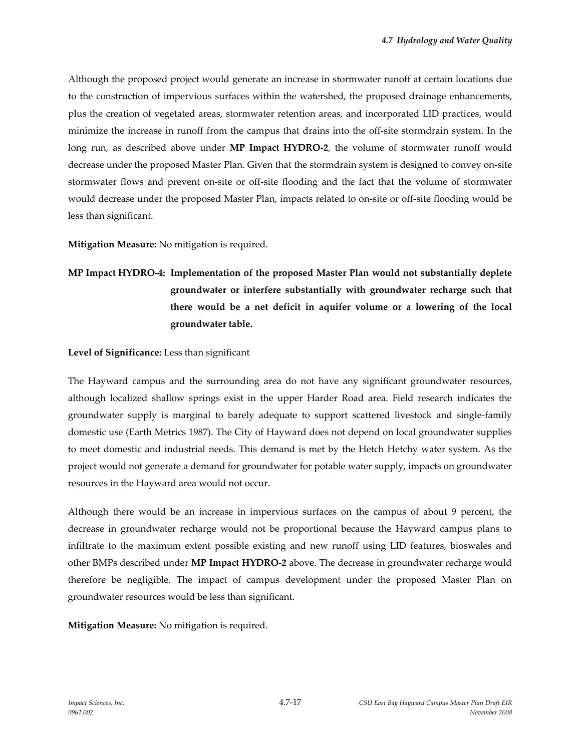Although the proposed project would generate an increase in stormwater runoff at certain locations due to the construction of impervious surfaces within the watershed, the proposed drainage enhancements, plus the creation of vegetated areas, stormwater retention areas, and incorporated LID practices, would minimize the increase in runoff from the campus that drains into the off‐site stormdrain system. In the long run, as described above under **MP Impact HYDRO‐2**, the volume of stormwater runoff would decrease under the proposed Master Plan. Given that the stormdrain system is designed to convey on‐site stormwater flows and prevent on‐site or off‐site flooding and the fact that the volume of stormwater would decrease under the proposed Master Plan, impacts related to on‐site or off‐site flooding would be less than significant.

**Mitigation Measure:** No mitigation is required.

**MP Impact HYDRO‐4: Implementation of the proposed Master Plan would not substantially deplete groundwater or interfere substantially with groundwater recharge such that there would be a net deficit in aquifer volume or a lowering of the local groundwater table.**

#### **Level of Significance:** Less than significant

The Hayward campus and the surrounding area do not have any significant groundwater resources, although localized shallow springs exist in the upper Harder Road area. Field research indicates the groundwater supply is marginal to barely adequate to support scattered livestock and single‐family domestic use (Earth Metrics 1987). The City of Hayward does not depend on local groundwater supplies to meet domestic and industrial needs. This demand is met by the Hetch Hetchy water system. As the project would not generate a demand for groundwater for potable water supply, impacts on groundwater resources in the Hayward area would not occur.

Although there would be an increase in impervious surfaces on the campus of about 9 percent, the decrease in groundwater recharge would not be proportional because the Hayward campus plans to infiltrate to the maximum extent possible existing and new runoff using LID features, bioswales and other BMPs described under **MP Impact HYDRO‐2** above. The decrease in groundwater recharge would therefore be negligible. The impact of campus development under the proposed Master Plan on groundwater resources would be less than significant.

**Mitigation Measure:** No mitigation is required.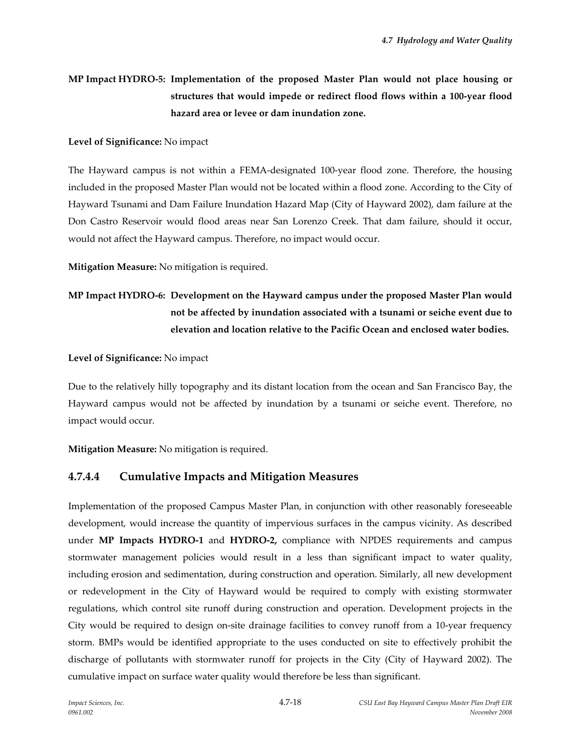# **MP Impact HYDRO‐5: Implementation of the proposed Master Plan would not place housing or structures that would impede or redirect flood flows within a 100‐year flood hazard area or levee or dam inundation zone.**

#### **Level of Significance:** No impact

The Hayward campus is not within a FEMA‐designated 100‐year flood zone. Therefore, the housing included in the proposed Master Plan would not be located within a flood zone. According to the City of Hayward Tsunami and Dam Failure Inundation Hazard Map (City of Hayward 2002), dam failure at the Don Castro Reservoir would flood areas near San Lorenzo Creek. That dam failure, should it occur, would not affect the Hayward campus. Therefore, no impact would occur.

**Mitigation Measure:** No mitigation is required.

# **MP Impact HYDRO‐6: Development on the Hayward campus under the proposed Master Plan would not be affected by inundation associated with a tsunami or seiche event due to elevation and location relative to the Pacific Ocean and enclosed water bodies.**

#### **Level of Significance:** No impact

Due to the relatively hilly topography and its distant location from the ocean and San Francisco Bay, the Hayward campus would not be affected by inundation by a tsunami or seiche event. Therefore, no impact would occur.

**Mitigation Measure:** No mitigation is required.

# **4.7.4.4 Cumulative Impacts and Mitigation Measures**

Implementation of the proposed Campus Master Plan, in conjunction with other reasonably foreseeable development, would increase the quantity of impervious surfaces in the campus vicinity. As described under **MP Impacts HYDRO‐1** and **HYDRO‐2,** compliance with NPDES requirements and campus stormwater management policies would result in a less than significant impact to water quality, including erosion and sedimentation, during construction and operation. Similarly, all new development or redevelopment in the City of Hayward would be required to comply with existing stormwater regulations, which control site runoff during construction and operation. Development projects in the City would be required to design on‐site drainage facilities to convey runoff from a 10‐year frequency storm. BMPs would be identified appropriate to the uses conducted on site to effectively prohibit the discharge of pollutants with stormwater runoff for projects in the City (City of Hayward 2002). The cumulative impact on surface water quality would therefore be less than significant.